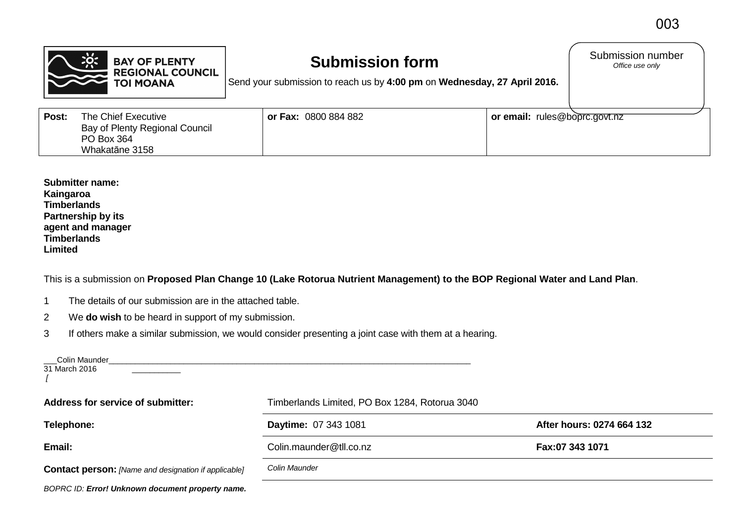|       | <b>BAY OF PLENTY</b><br><b>REGIONAL COUNCIL</b><br><b>TOI MOANA</b>                   | <b>Submission form</b><br>Send your submission to reach us by 4:00 pm on Wednesday, 27 April 2016. |                               | Submission number<br>Office use only |
|-------|---------------------------------------------------------------------------------------|----------------------------------------------------------------------------------------------------|-------------------------------|--------------------------------------|
| Post: | The Chief Executive<br>Bay of Plenty Regional Council<br>PO Box 364<br>Whakatāne 3158 | <b>or Fax: 0800 884 882</b>                                                                        | or email: rules@boprc.govt.nz |                                      |

**Submitter name: Kaingaroa Timberlands Partnership by its agent and manager Timberlands Limited**

This is a submission on **Proposed Plan Change 10 (Lake Rotorua Nutrient Management) to the BOP Regional Water and Land Plan**.

- 1 The details of our submission are in the attached table.
- 2 We **do wish** to be heard in support of my submission.
- 3 If others make a similar submission, we would consider presenting a joint case with them at a hearing.

| ___Colin Maunder_<br>31 March 2016                          |                                                |                           |  |
|-------------------------------------------------------------|------------------------------------------------|---------------------------|--|
| <b>Address for service of submitter:</b>                    | Timberlands Limited, PO Box 1284, Rotorua 3040 |                           |  |
| Telephone:                                                  | Daytime: 07 343 1081                           | After hours: 0274 664 132 |  |
| Email:                                                      | Colin.maunder@tll.co.nz                        | Fax:07 343 1071           |  |
| <b>Contact person:</b> [Name and designation if applicable] | Colin Maunder                                  |                           |  |
| BOPRC ID: Error! Unknown document property name.            |                                                |                           |  |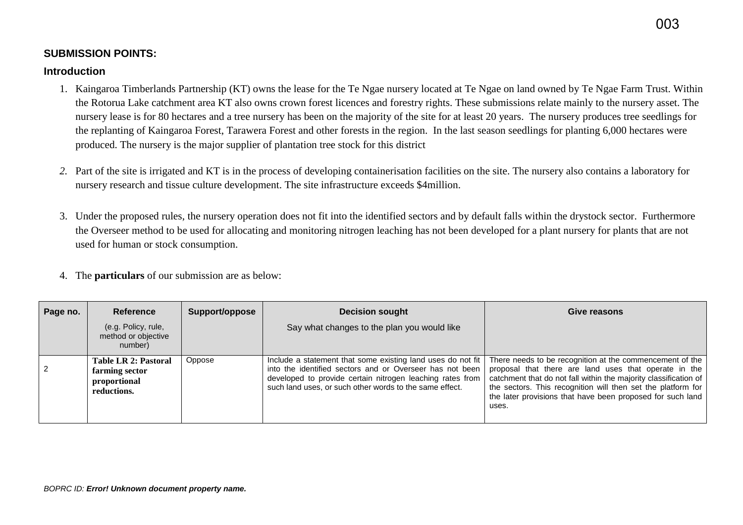## **SUBMISSION POINTS:**

## **Introduction**

- 1. Kaingaroa Timberlands Partnership (KT) owns the lease for the Te Ngae nursery located at Te Ngae on land owned by Te Ngae Farm Trust. Within the Rotorua Lake catchment area KT also owns crown forest licences and forestry rights. These submissions relate mainly to the nursery asset. The nursery lease is for 80 hectares and a tree nursery has been on the majority of the site for at least 20 years. The nursery produces tree seedlings for the replanting of Kaingaroa Forest, Tarawera Forest and other forests in the region. In the last season seedlings for planting 6,000 hectares were produced. The nursery is the major supplier of plantation tree stock for this district
- *2.* Part of the site is irrigated and KT is in the process of developing containerisation facilities on the site. The nursery also contains a laboratory for nursery research and tissue culture development. The site infrastructure exceeds \$4million.
- 3. Under the proposed rules, the nursery operation does not fit into the identified sectors and by default falls within the drystock sector. Furthermore the Overseer method to be used for allocating and monitoring nitrogen leaching has not been developed for a plant nursery for plants that are not used for human or stock consumption.
- 4. The **particulars** of our submission are as below:

| Page no. | Reference                                                                    | Support/oppose | <b>Decision sought</b>                                                                                                                                                                                                                          | Give reasons                                                                                                                                                                                                                                                                                                                 |
|----------|------------------------------------------------------------------------------|----------------|-------------------------------------------------------------------------------------------------------------------------------------------------------------------------------------------------------------------------------------------------|------------------------------------------------------------------------------------------------------------------------------------------------------------------------------------------------------------------------------------------------------------------------------------------------------------------------------|
|          | (e.g. Policy, rule,<br>method or objective<br>number)                        |                | Say what changes to the plan you would like                                                                                                                                                                                                     |                                                                                                                                                                                                                                                                                                                              |
| 2        | <b>Table LR 2: Pastoral</b><br>farming sector<br>proportional<br>reductions. | Oppose         | Include a statement that some existing land uses do not fit<br>into the identified sectors and or Overseer has not been<br>developed to provide certain nitrogen leaching rates from<br>such land uses, or such other words to the same effect. | There needs to be recognition at the commencement of the<br>proposal that there are land uses that operate in the<br>catchment that do not fall within the majority classification of<br>the sectors. This recognition will then set the platform for<br>the later provisions that have been proposed for such land<br>uses. |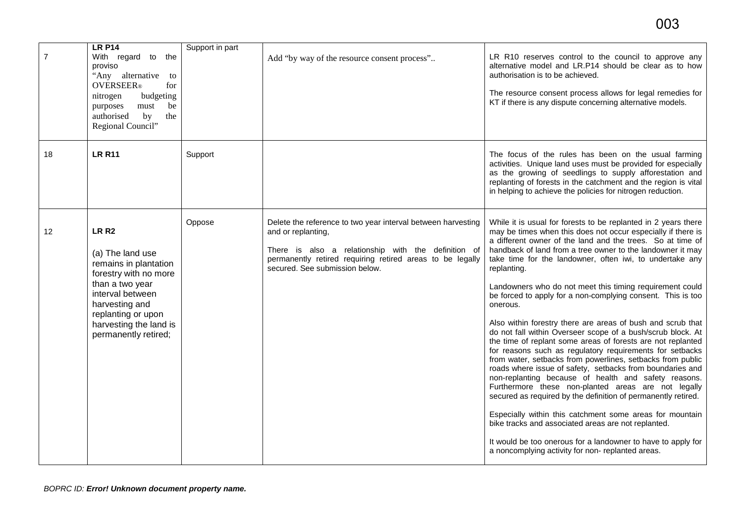| $\overline{7}$ | <b>LR P14</b><br>With regard to the<br>proviso<br>"Any alternative to<br><b>OVERSEER</b> ®<br>for<br>nitrogen<br>budgeting<br>must<br>purposes<br>be<br>authorised<br>by<br>the<br>Regional Council"                    | Support in part | Add "by way of the resource consent process"                                                                                                                                                                                             | LR R10 reserves control to the council to approve any<br>alternative model and LR.P14 should be clear as to how<br>authorisation is to be achieved.<br>The resource consent process allows for legal remedies for<br>KT if there is any dispute concerning alternative models.                                                                                                                                                                                                                                                                                                                                                                                                                                                                                                                                                                                                                                                                                                                                                                                                                                                                                                                                                                                                           |
|----------------|-------------------------------------------------------------------------------------------------------------------------------------------------------------------------------------------------------------------------|-----------------|------------------------------------------------------------------------------------------------------------------------------------------------------------------------------------------------------------------------------------------|------------------------------------------------------------------------------------------------------------------------------------------------------------------------------------------------------------------------------------------------------------------------------------------------------------------------------------------------------------------------------------------------------------------------------------------------------------------------------------------------------------------------------------------------------------------------------------------------------------------------------------------------------------------------------------------------------------------------------------------------------------------------------------------------------------------------------------------------------------------------------------------------------------------------------------------------------------------------------------------------------------------------------------------------------------------------------------------------------------------------------------------------------------------------------------------------------------------------------------------------------------------------------------------|
| 18             | <b>LR R11</b>                                                                                                                                                                                                           | Support         |                                                                                                                                                                                                                                          | The focus of the rules has been on the usual farming<br>activities. Unique land uses must be provided for especially<br>as the growing of seedlings to supply afforestation and<br>replanting of forests in the catchment and the region is vital<br>in helping to achieve the policies for nitrogen reduction.                                                                                                                                                                                                                                                                                                                                                                                                                                                                                                                                                                                                                                                                                                                                                                                                                                                                                                                                                                          |
| 12             | LR <sub>R2</sub><br>(a) The land use<br>remains in plantation<br>forestry with no more<br>than a two year<br>interval between<br>harvesting and<br>replanting or upon<br>harvesting the land is<br>permanently retired; | Oppose          | Delete the reference to two year interval between harvesting<br>and or replanting,<br>There is also a relationship with the definition of<br>permanently retired requiring retired areas to be legally<br>secured. See submission below. | While it is usual for forests to be replanted in 2 years there<br>may be times when this does not occur especially if there is<br>a different owner of the land and the trees. So at time of<br>handback of land from a tree owner to the landowner it may<br>take time for the landowner, often iwi, to undertake any<br>replanting.<br>Landowners who do not meet this timing requirement could<br>be forced to apply for a non-complying consent. This is too<br>onerous.<br>Also within forestry there are areas of bush and scrub that<br>do not fall within Overseer scope of a bush/scrub block. At<br>the time of replant some areas of forests are not replanted<br>for reasons such as regulatory requirements for setbacks<br>from water, setbacks from powerlines, setbacks from public<br>roads where issue of safety, setbacks from boundaries and<br>non-replanting because of health and safety reasons.<br>Furthermore these non-planted areas are not legally<br>secured as required by the definition of permanently retired.<br>Especially within this catchment some areas for mountain<br>bike tracks and associated areas are not replanted.<br>It would be too onerous for a landowner to have to apply for<br>a noncomplying activity for non- replanted areas. |